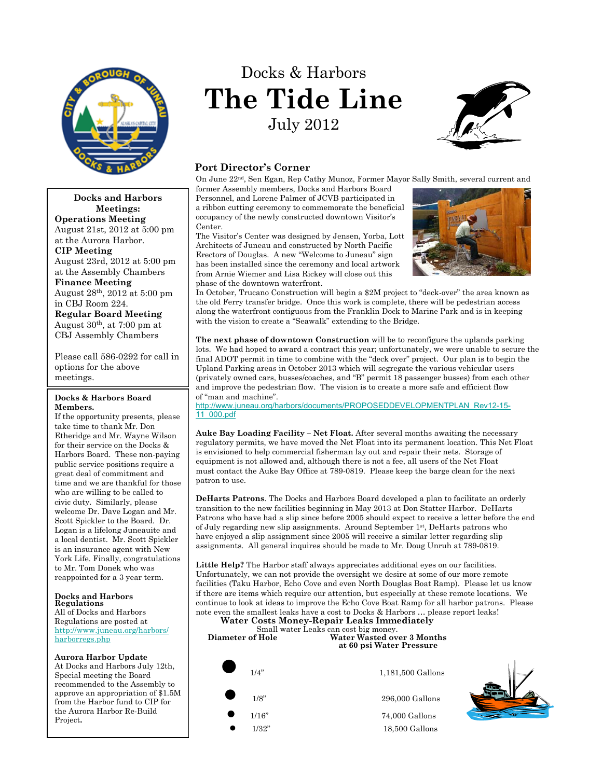

# Docks & Harbors **The Tide Line** July 2012



# **Port Director's Corner**

On June 22nd, Sen Egan, Rep Cathy Munoz, Former Mayor Sally Smith, several current and

former Assembly members, Docks and Harbors Board Personnel, and Lorene Palmer of JCVB participated in a ribbon cutting ceremony to commemorate the beneficial occupancy of the newly constructed downtown Visitor's Center.

The Visitor's Center was designed by Jensen, Yorba, Lott Architects of Juneau and constructed by North Pacific Erectors of Douglas. A new "Welcome to Juneau" sign has been installed since the ceremony and local artwork from Arnie Wiemer and Lisa Rickey will close out this phase of the downtown waterfront.



In October, Trucano Construction will begin a \$2M project to "deck-over" the area known as the old Ferry transfer bridge. Once this work is complete, there will be pedestrian access along the waterfront contiguous from the Franklin Dock to Marine Park and is in keeping with the vision to create a "Seawalk" extending to the Bridge.

**The next phase of downtown Construction** will be to reconfigure the uplands parking lots. We had hoped to award a contract this year; unfortunately, we were unable to secure the final ADOT permit in time to combine with the "deck over" project. Our plan is to begin the Upland Parking areas in October 2013 which will segregate the various vehicular users (privately owned cars, busses/coaches, and "B" permit 18 passenger busses) from each other and improve the pedestrian flow. The vision is to create a more safe and efficient flow of "man and machine".

[http://www.juneau.org/harbors/documents/PROPOSEDDEVELOPMENTPLAN\\_Rev12-15-](http://www.juneau.org/harbors/documents/PROPOSEDDEVELOPMENTPLAN_Rev12-15-11_000.pdf) [11\\_000.pdf](http://www.juneau.org/harbors/documents/PROPOSEDDEVELOPMENTPLAN_Rev12-15-11_000.pdf)

**Auke Bay Loading Facility – Net Float.** After several months awaiting the necessary regulatory permits, we have moved the Net Float into its permanent location. This Net Float is envisioned to help commercial fisherman lay out and repair their nets. Storage of equipment is not allowed and, although there is not a fee, all users of the Net Float must contact the Auke Bay Office at 789-0819. Please keep the barge clean for the next patron to use.

**DeHarts Patrons**. The Docks and Harbors Board developed a plan to facilitate an orderly transition to the new facilities beginning in May 2013 at Don Statter Harbor. DeHarts Patrons who have had a slip since before 2005 should expect to receive a letter before the end of July regarding new slip assignments. Around September 1st, DeHarts patrons who have enjoyed a slip assignment since 2005 will receive a similar letter regarding slip assignments. All general inquires should be made to Mr. Doug Unruh at 789-0819.

**Little Help?** The Harbor staff always appreciates additional eyes on our facilities. Unfortunately, we can not provide the oversight we desire at some of our more remote facilities (Taku Harbor, Echo Cove and even North Douglas Boat Ramp). Please let us know if there are items which require our attention, but especially at these remote locations. We continue to look at ideas to improve the Echo Cove Boat Ramp for all harbor patrons. Please note even the smallest leaks have a cost to Docks & Harbors … please report leaks!

**Water Costs Money-Repair Leaks Immediately** Small water Leaks can cost big money.<br>Diameter of Hole Water Wasted ov

Water Wasted over 3 Months **at 60 psi Water Pressure**



 $$1/8"$   $$296,000~\mathrm{Gallons}$$ 

1/16" 74,000 Gallons 1/32" 18.500 Gallons



**Docks and Harbors Meetings: Operations Meeting** August 21st, 2012 at 5:00 pm at the Aurora Harbor.

**CIP Meeting**

August 23rd, 2012 at 5:00 pm at the Assembly Chambers **Finance Meeting**

August 28th, 2012 at 5:00 pm in CBJ Room 224.

**Regular Board Meeting** August  $30<sup>th</sup>$ , at 7:00 pm at CBJ Assembly Chambers

Please call 586-0292 for call in options for the above meetings.

## **Docks & Harbors Board Members.**

If the opportunity presents, please take time to thank Mr. Don Etheridge and Mr. Wayne Wilson for their service on the Docks & Harbors Board. These non-paying public service positions require a great deal of commitment and time and we are thankful for those who are willing to be called to civic duty. Similarly, please welcome Dr. Dave Logan and Mr. Scott Spickler to the Board. Dr. Logan is a lifelong Juneauite and a local dentist. Mr. Scott Spickler is an insurance agent with New York Life. Finally, congratulations to Mr. Tom Donek who was reappointed for a 3 year term.

## **Docks and Harbors Regulations**

All of Docks and Harbors Regulations are posted at http://www.juneau.org/harbors/ harborregs.php

**Aurora Harbor Update**

At Docks and Harbors July 12th, Special meeting the Board recommended to the Assembly to approve an appropriation of \$1.5M from the Harbor fund to CIP for the Aurora Harbor Re-Build Project**.**